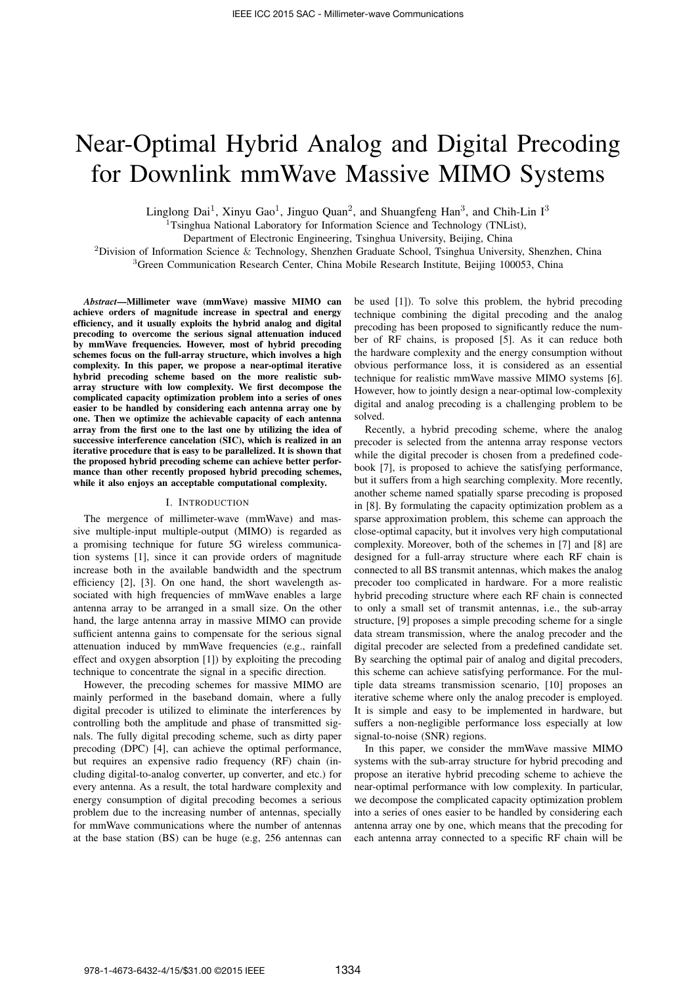# Near-Optimal Hybrid Analog and Digital Precoding for Downlink mmWave Massive MIMO Systems

Linglong Dai<sup>1</sup>, Xinyu Gao<sup>1</sup>, Jinguo Quan<sup>2</sup>, and Shuangfeng Han<sup>3</sup>, and Chih-Lin I<sup>3</sup>

<sup>1</sup>Tsinghua National Laboratory for Information Science and Technology (TNList),

Department of Electronic Engineering, Tsinghua University, Beijing, China

<sup>2</sup>Division of Information Science & Technology, Shenzhen Graduate School, Tsinghua University, Shenzhen, China

<sup>3</sup>Green Communication Research Center, China Mobile Research Institute, Beijing 100053, China

*Abstract*—Millimeter wave (mmWave) massive MIMO can achieve orders of magnitude increase in spectral and energy efficiency, and it usually exploits the hybrid analog and digital precoding to overcome the serious signal attenuation induced by mmWave frequencies. However, most of hybrid precoding schemes focus on the full-array structure, which involves a high complexity. In this paper, we propose a near-optimal iterative hybrid precoding scheme based on the more realistic subarray structure with low complexity. We first decompose the complicated capacity optimization problem into a series of ones easier to be handled by considering each antenna array one by one. Then we optimize the achievable capacity of each antenna array from the first one to the last one by utilizing the idea of successive interference cancelation (SIC), which is realized in an iterative procedure that is easy to be parallelized. It is shown that the proposed hybrid precoding scheme can achieve better performance than other recently proposed hybrid precoding schemes, while it also enjoys an acceptable computational complexity.

## I. INTRODUCTION

The mergence of millimeter-wave (mmWave) and massive multiple-input multiple-output (MIMO) is regarded as a promising technique for future 5G wireless communication systems [1], since it can provide orders of magnitude increase both in the available bandwidth and the spectrum efficiency [2], [3]. On one hand, the short wavelength associated with high frequencies of mmWave enables a large antenna array to be arranged in a small size. On the other hand, the large antenna array in massive MIMO can provide sufficient antenna gains to compensate for the serious signal attenuation induced by mmWave frequencies (e.g., rainfall effect and oxygen absorption [1]) by exploiting the precoding technique to concentrate the signal in a specific direction.

However, the precoding schemes for massive MIMO are mainly performed in the baseband domain, where a fully digital precoder is utilized to eliminate the interferences by controlling both the amplitude and phase of transmitted signals. The fully digital precoding scheme, such as dirty paper precoding (DPC) [4], can achieve the optimal performance, but requires an expensive radio frequency (RF) chain (including digital-to-analog converter, up converter, and etc.) for every antenna. As a result, the total hardware complexity and energy consumption of digital precoding becomes a serious problem due to the increasing number of antennas, specially for mmWave communications where the number of antennas at the base station (BS) can be huge (e.g, 256 antennas can be used [1]). To solve this problem, the hybrid precoding technique combining the digital precoding and the analog precoding has been proposed to significantly reduce the number of RF chains, is proposed [5]. As it can reduce both the hardware complexity and the energy consumption without obvious performance loss, it is considered as an essential technique for realistic mmWave massive MIMO systems [6]. However, how to jointly design a near-optimal low-complexity digital and analog precoding is a challenging problem to be solved.

Recently, a hybrid precoding scheme, where the analog precoder is selected from the antenna array response vectors while the digital precoder is chosen from a predefined codebook [7], is proposed to achieve the satisfying performance, but it suffers from a high searching complexity. More recently, another scheme named spatially sparse precoding is proposed in [8]. By formulating the capacity optimization problem as a sparse approximation problem, this scheme can approach the close-optimal capacity, but it involves very high computational complexity. Moreover, both of the schemes in [7] and [8] are designed for a full-array structure where each RF chain is connected to all BS transmit antennas, which makes the analog precoder too complicated in hardware. For a more realistic hybrid precoding structure where each RF chain is connected to only a small set of transmit antennas, i.e., the sub-array structure, [9] proposes a simple precoding scheme for a single data stream transmission, where the analog precoder and the digital precoder are selected from a predefined candidate set. By searching the optimal pair of analog and digital precoders, this scheme can achieve satisfying performance. For the multiple data streams transmission scenario, [10] proposes an iterative scheme where only the analog precoder is employed. It is simple and easy to be implemented in hardware, but suffers a non-negligible performance loss especially at low signal-to-noise (SNR) regions.

In this paper, we consider the mmWave massive MIMO systems with the sub-array structure for hybrid precoding and propose an iterative hybrid precoding scheme to achieve the near-optimal performance with low complexity. In particular, we decompose the complicated capacity optimization problem into a series of ones easier to be handled by considering each antenna array one by one, which means that the precoding for each antenna array connected to a specific RF chain will be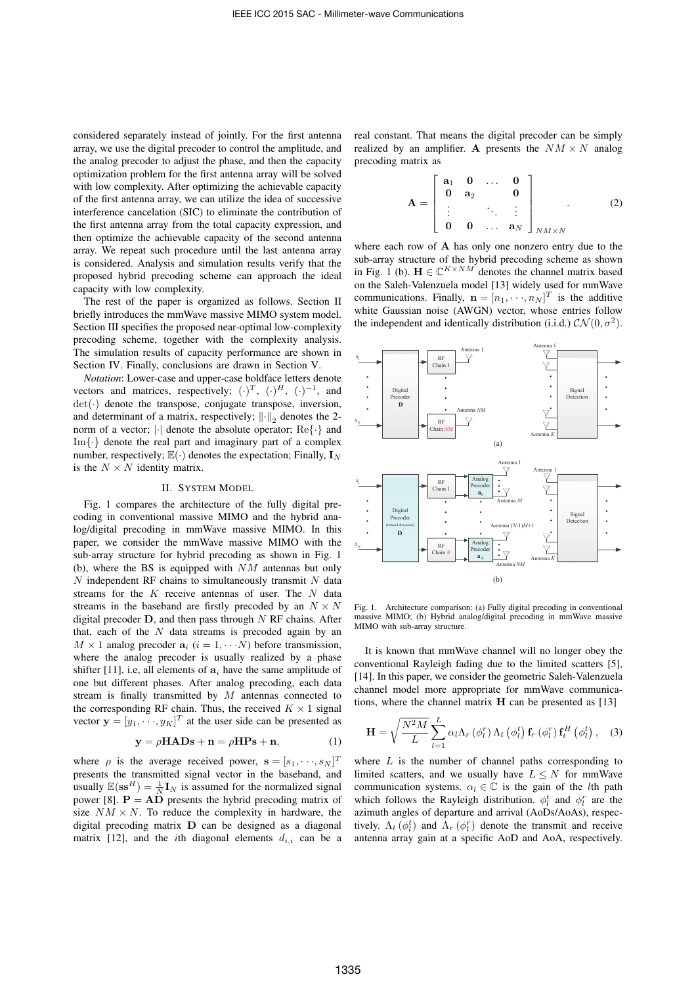considered separately instead of jointly. For the first antenna array, we use the digital precoder to control the amplitude, and the analog precoder to adjust the phase, and then the capacity optimization problem for the first antenna array will be solved with low complexity. After optimizing the achievable capacity of the first antenna array, we can utilize the idea of successive interference cancelation (SIC) to eliminate the contribution of the first antenna array from the total capacity expression, and then optimize the achievable capacity of the second antenna array. We repeat such procedure until the last antenna array is considered. Analysis and simulation results verify that the proposed hybrid precoding scheme can approach the ideal capacity with low complexity.

The rest of the paper is organized as follows. Section II briefly introduces the mmWave massive MIMO system model. Section III specifies the proposed near-optimal low-complexity precoding scheme, together with the complexity analysis. The simulation results of capacity performance are shown in Section IV. Finally, conclusions are drawn in Section V.

*Notation*: Lower-case and upper-case boldface letters denote vectors and matrices, respectively;  $(\cdot)^T$ ,  $(\cdot)^H$ ,  $(\cdot)^{-1}$ , and  $det(\cdot)$  denote the transpose, conjugate transpose, inversion, and determinant of a matrix, respectively;  $\|\cdot\|_2$  denotes the 2norm of a vector;  $|\cdot|$  denote the absolute operator;  $\text{Re}\{\cdot\}$  and  $Im\{\cdot\}$  denote the real part and imaginary part of a complex number, respectively;  $\mathbb{E}(\cdot)$  denotes the expectation; Finally,  $\mathbf{I}_N$ is the  $N \times N$  identity matrix.

#### II. SYSTEM MODEL

Fig. 1 compares the architecture of the fully digital precoding in conventional massive MIMO and the hybrid analog/digital precoding in mmWave massive MIMO. In this paper, we consider the mmWave massive MIMO with the sub-array structure for hybrid precoding as shown in Fig. 1 (b), where the BS is equipped with  $NM$  antennas but only  $N$  independent RF chains to simultaneously transmit  $N$  data streams for the K receive antennas of user. The N data streams in the baseband are firstly precoded by an  $N \times N$ digital precoder  $D$ , and then pass through  $N$  RF chains. After that, each of the  $N$  data streams is precoded again by an  $M \times 1$  analog precoder  $\mathbf{a}_i$   $(i = 1, \cdots N)$  before transmission, where the analog precoder is usually realized by a phase shifter [11], i.e, all elements of  $a_i$  have the same amplitude of one but different phases. After analog precoding, each data stream is finally transmitted by  $M$  antennas connected to the corresponding RF chain. Thus, the received  $K \times 1$  signal vector  $\mathbf{y} = [y_1, \dots, y_K]^T$  at the user side can be presented as

$$
y = \rho HADs + n = \rho HPs + n,\tag{1}
$$

where  $\rho$  is the average received power,  $\mathbf{s} = [s_1, \dots, s_N]^T$ presents the transmitted signal vector in the baseband, and usually  $\mathbb{E}(\mathbf{ss}^H) = \frac{1}{N} \mathbf{I}_N$  is assumed for the normalized signal power [8].  $P = AD$  presents the hybrid precoding matrix of size  $NM \times N$ . To reduce the complexity in hardware, the digital precoding matrix D can be designed as a diagonal matrix [12], and the *i*th diagonal elements  $d_{i,i}$  can be a real constant. That means the digital precoder can be simply realized by an amplifier. A presents the  $NM \times N$  analog precoding matrix as

$$
\mathbf{A} = \begin{bmatrix} \mathbf{a}_1 & \mathbf{0} & \dots & \mathbf{0} \\ \mathbf{0} & \mathbf{a}_2 & & \mathbf{0} \\ \vdots & & \ddots & \vdots \\ \mathbf{0} & \mathbf{0} & \dots & \mathbf{a}_N \end{bmatrix}_{NM \times N}
$$
 (2)

where each row of A has only one nonzero entry due to the sub-array structure of the hybrid precoding scheme as shown in Fig. 1 (b).  $\mathbf{H} \in \mathbb{C}^{K \times NM}$  denotes the channel matrix based on the Saleh-Valenzuela model [13] widely used for mmWave communications. Finally,  $\mathbf{n} = [n_1, \dots, n_N]^T$  is the additive white Gaussian noise (AWGN) vector, whose entries follow the independent and identically distribution (i.i.d.)  $\mathcal{CN}(0, \sigma^2)$ .



Fig. 1. Architecture comparison: (a) Fully digital precoding in conventional massive MIMO; (b) Hybrid analog/digital precoding in mmWave massive MIMO with sub-array structure.

It is known that mmWave channel will no longer obey the conventional Rayleigh fading due to the limited scatters [5], [14]. In this paper, we consider the geometric Saleh-Valenzuela channel model more appropriate for mmWave communications, where the channel matrix  $H$  can be presented as [13]

$$
\mathbf{H} = \sqrt{\frac{N^2 M}{L}} \sum_{l=1}^{L} \alpha_l \Lambda_r \left( \phi_l^r \right) \Lambda_t \left( \phi_l^t \right) \mathbf{f}_r \left( \phi_l^r \right) \mathbf{f}_t^H \left( \phi_l^t \right), \quad (3)
$$

where  $L$  is the number of channel paths corresponding to limited scatters, and we usually have  $L \leq N$  for mmWave communication systems.  $\alpha_l \in \mathbb{C}$  is the gain of the *l*th path which follows the Rayleigh distribution.  $\phi_l^t$  and  $\phi_l^r$  are the azimuth angles of departure and arrival (AoDs/AoAs), respectively.  $\Lambda_t$  ( $\phi_t^t$ ) and  $\Lambda_r$  ( $\phi_t^r$ ) denote the transmit and receive antenna array gain at a specific AoD and AoA, respectively.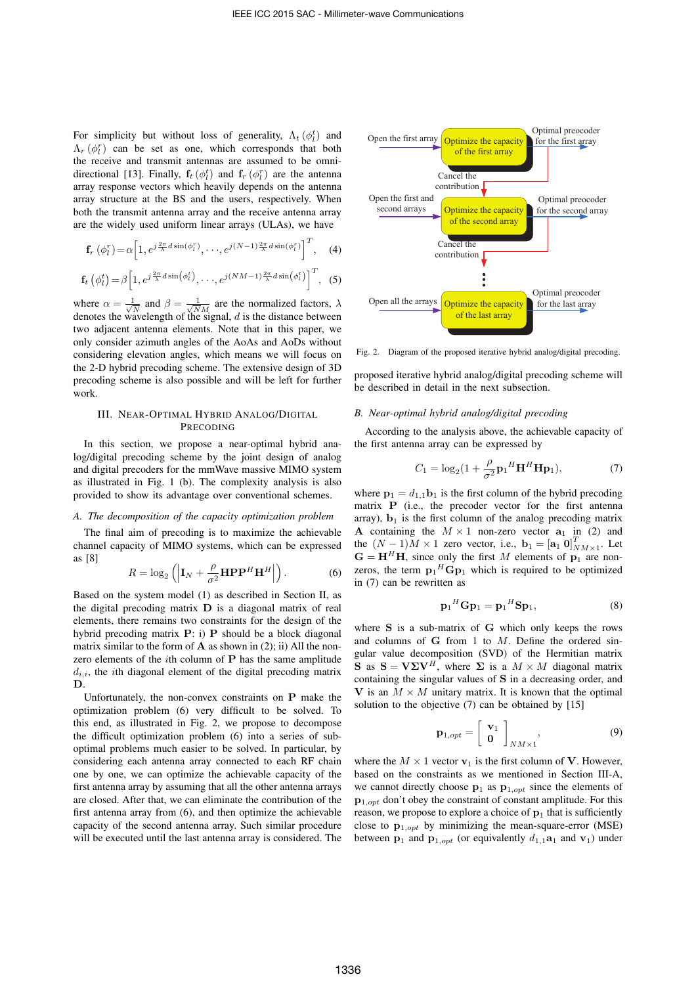For simplicity but without loss of generality,  $\Lambda_t(\phi_l^t)$  and  $\Lambda_r$  ( $\phi_l^r$ ) can be set as one, which corresponds that both the receive and transmit antennas are assumed to be omnidirectional [13]. Finally,  $f_t(\phi_t^t)$  and  $f_r(\phi_t^r)$  are the antenna array response vectors which heavily depends on the antenna array structure at the BS and the users, respectively. When both the transmit antenna array and the receive antenna array are the widely used uniform linear arrays (ULAs), we have

$$
\mathbf{f}_r\left(\phi_l^r\right) = \alpha \left[1, e^{j\frac{2\pi}{\lambda}d\sin\left(\phi_l^r\right)}, \cdots, e^{j(N-1)\frac{2\pi}{\lambda}d\sin\left(\phi_l^r\right)}\right]^T, \quad (4)
$$

$$
\mathbf{f}_t\left(\phi_t^t\right) = \beta \left[1, e^{j\frac{2\pi}{\lambda}d\sin\left(\phi_t^t\right)}, \cdots, e^{j\left(NM-1\right)\frac{2\pi}{\lambda}d\sin\left(\phi_t^t\right)}\right]^T, \tag{5}
$$

where  $\alpha = \frac{1}{\sqrt{N}}$  and  $\beta = \frac{1}{\sqrt{NM}}$  are the normalized factors,  $\lambda$  denotes the wavelength of the signal, d is the distance between two adjacent antenna elements. Note that in this paper, we only consider azimuth angles of the AoAs and AoDs without considering elevation angles, which means we will focus on the 2-D hybrid precoding scheme. The extensive design of 3D precoding scheme is also possible and will be left for further work.

## III. NEAR-OPTIMAL HYBRID ANALOG/DIGITAL PRECODING

In this section, we propose a near-optimal hybrid analog/digital precoding scheme by the joint design of analog and digital precoders for the mmWave massive MIMO system as illustrated in Fig. 1 (b). The complexity analysis is also provided to show its advantage over conventional schemes.

## *A. The decomposition of the capacity optimization problem*

The final aim of precoding is to maximize the achievable channel capacity of MIMO systems, which can be expressed as [8]

$$
R = \log_2\left(\left|\mathbf{I}_N + \frac{\rho}{\sigma^2}\mathbf{H}\mathbf{P}\mathbf{P}^H\mathbf{H}^H\right|\right).
$$
 (6)

Based on the system model (1) as described in Section II, as the digital precoding matrix D is a diagonal matrix of real elements, there remains two constraints for the design of the hybrid precoding matrix P: i) P should be a block diagonal matrix similar to the form of  $A$  as shown in (2); ii) All the nonzero elements of the ith column of P has the same amplitude  $d_{i,i}$ , the *i*th diagonal element of the digital precoding matrix D.

Unfortunately, the non-convex constraints on P make the optimization problem (6) very difficult to be solved. To this end, as illustrated in Fig. 2, we propose to decompose the difficult optimization problem (6) into a series of suboptimal problems much easier to be solved. In particular, by considering each antenna array connected to each RF chain one by one, we can optimize the achievable capacity of the first antenna array by assuming that all the other antenna arrays are closed. After that, we can eliminate the contribution of the first antenna array from (6), and then optimize the achievable capacity of the second antenna array. Such similar procedure will be executed until the last antenna array is considered. The



Fig. 2. Diagram of the proposed iterative hybrid analog/digital precoding.

proposed iterative hybrid analog/digital precoding scheme will be described in detail in the next subsection.

## *B. Near-optimal hybrid analog/digital precoding*

According to the analysis above, the achievable capacity of the first antenna array can be expressed by

$$
C_1 = \log_2\left(1 + \frac{\rho}{\sigma^2} \mathbf{p}_1^H \mathbf{H}^H \mathbf{H} \mathbf{p}_1\right),\tag{7}
$$

where  $\mathbf{p}_1 = d_{1,1}\mathbf{b}_1$  is the first column of the hybrid precoding matrix P (i.e., the precoder vector for the first antenna array),  $\mathbf{b}_1$  is the first column of the analog precoding matrix A containing the  $M \times 1$  non-zero vector  $a_1$  in (2) and the  $(N-1)M \times 1$  zero vector, i.e.,  $\mathbf{b}_1 = [\mathbf{a}_1 \ \mathbf{0}]_{NM \times 1}^T$ . Let  $G = H<sup>H</sup>H$ , since only the first M elements of  $p_1$  are nonzeros, the term  $\mathbf{p}_1$ <sup>H</sup> $\mathbf{G}\mathbf{p}_1$  which is required to be optimized in (7) can be rewritten as

$$
\mathbf{p}_1{}^H \mathbf{G} \mathbf{p}_1 = \mathbf{p}_1{}^H \mathbf{S} \mathbf{p}_1,\tag{8}
$$

where S is a sub-matrix of G which only keeps the rows and columns of  $G$  from 1 to  $M$ . Define the ordered singular value decomposition (SVD) of the Hermitian matrix **S** as  $S = V\Sigma V^H$ , where  $\Sigma$  is a  $M \times M$  diagonal matrix containing the singular values of S in a decreasing order, and V is an  $M \times M$  unitary matrix. It is known that the optimal solution to the objective (7) can be obtained by [15]

$$
\mathbf{p}_{1,opt} = \left[ \begin{array}{c} \mathbf{v}_1 \\ \mathbf{0} \end{array} \right]_{NM \times 1}, \tag{9}
$$

where the  $M \times 1$  vector  $v_1$  is the first column of V. However, based on the constraints as we mentioned in Section III-A, we cannot directly choose  $\mathbf{p}_1$  as  $\mathbf{p}_{1,opt}$  since the elements of  $p_{1,out}$  don't obey the constraint of constant amplitude. For this reason, we propose to explore a choice of  $p_1$  that is sufficiently close to  $\mathbf{p}_{1,opt}$  by minimizing the mean-square-error (MSE) between  $\mathbf{p}_1$  and  $\mathbf{p}_{1,out}$  (or equivalently  $d_{1,1}\mathbf{a}_1$  and  $\mathbf{v}_1$ ) under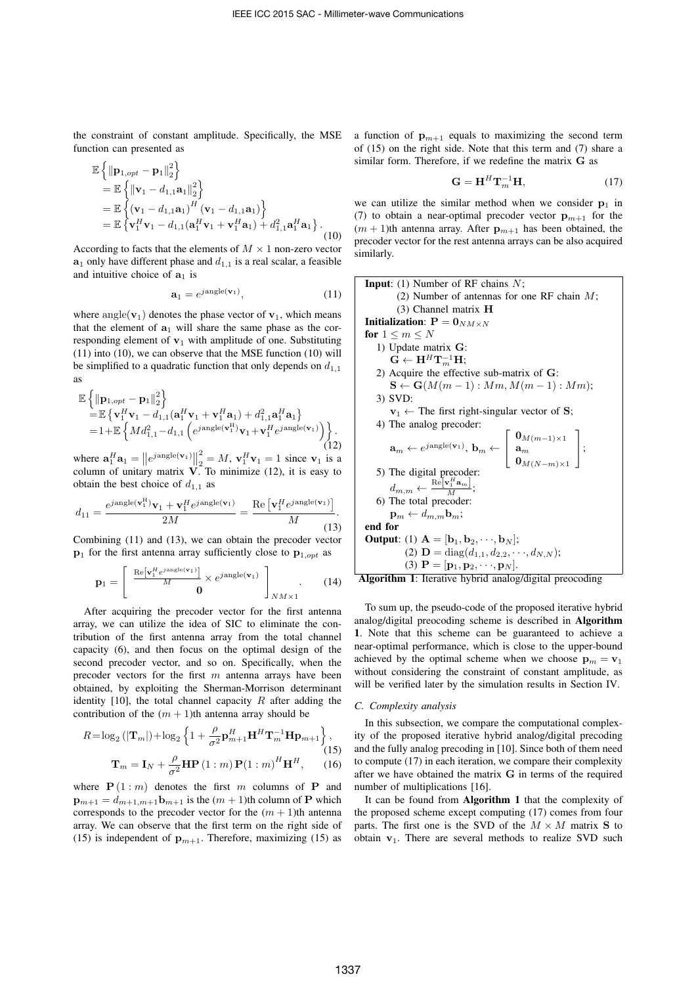the constraint of constant amplitude. Specifically, the MSE function can presented as

2

$$
\mathbb{E}\left\{\|\mathbf{p}_{1,opt} - \mathbf{p}_1\|_2^2\right\}\n= \mathbb{E}\left\{\|\mathbf{v}_1 - d_{1,1}\mathbf{a}_1\|_2^2\right\}\n= \mathbb{E}\left\{\left(\mathbf{v}_1 - d_{1,1}\mathbf{a}_1\right)^H (\mathbf{v}_1 - d_{1,1}\mathbf{a}_1)\right\}\n= \mathbb{E}\left\{\mathbf{v}_1^H \mathbf{v}_1 - d_{1,1}(\mathbf{a}_1^H \mathbf{v}_1 + \mathbf{v}_1^H \mathbf{a}_1) + d_{1,1}^2 \mathbf{a}_1^H \mathbf{a}_1\right\}.
$$
\n(10)

According to facts that the elements of  $M \times 1$  non-zero vector  $a_1$  only have different phase and  $d_{1,1}$  is a real scalar, a feasible and intuitive choice of  $a_1$  is

$$
\mathbf{a}_1 = e^{j \text{angle}(\mathbf{v}_1)},\tag{11}
$$

where angle( $v_1$ ) denotes the phase vector of  $v_1$ , which means that the element of  $a_1$  will share the same phase as the corresponding element of  $v_1$  with amplitude of one. Substituting (11) into (10), we can observe that the MSE function (10) will be simplified to a quadratic function that only depends on  $d_{1,1}$ as

$$
\mathbb{E}\left\{\|\mathbf{p}_{1,opt}-\mathbf{p}_1\|_2^2\right\}\n= \mathbb{E}\left\{\mathbf{v}_1^H\mathbf{v}_1 - d_{1,1}(\mathbf{a}_1^H\mathbf{v}_1 + \mathbf{v}_1^H\mathbf{a}_1) + d_{1,1}^2\mathbf{a}_1^H\mathbf{a}_1\right\}\n= 1 + \mathbb{E}\left\{Md_{1,1}^2 - d_{1,1}\left(e^{jangle(\mathbf{v}_1^H)}\mathbf{v}_1 + \mathbf{v}_1^H e^{jangle(\mathbf{v}_1)}\right)\right\}.
$$
\n(12)

where  $\mathbf{a}_1^H \mathbf{a}_1 = ||e^{j \text{angle}(\mathbf{v}_1)}||_2^2 = M$ ,  $\mathbf{v}_1^H \mathbf{v}_1 = 1$  since  $\mathbf{v}_1$  is a column of unitary matrix  $V$ . To minimize (12), it is easy to obtain the best choice of  $d_{1,1}$  as

$$
d_{11} = \frac{e^{j \text{angle}(\mathbf{v}_1^H)} \mathbf{v}_1 + \mathbf{v}_1^H e^{j \text{angle}(\mathbf{v}_1)}}{2M} = \frac{\text{Re}\left[\mathbf{v}_1^H e^{j \text{angle}(\mathbf{v}_1)}\right]}{M}.
$$
\n(13)

Combining (11) and (13), we can obtain the precoder vector  $\mathbf{p}_1$  for the first antenna array sufficiently close to  $\mathbf{p}_{1,opt}$  as

$$
\mathbf{p}_1 = \left[ \begin{array}{c} \frac{\text{Re}[\mathbf{v}_1^H e^{j\text{angle}(\mathbf{v}_1)}]}{M} \times e^{j\text{angle}(\mathbf{v}_1)} \\ \mathbf{0} \end{array} \right]_{NM \times 1} . \tag{14}
$$

After acquiring the precoder vector for the first antenna array, we can utilize the idea of SIC to eliminate the contribution of the first antenna array from the total channel capacity (6), and then focus on the optimal design of the second precoder vector, and so on. Specifically, when the precoder vectors for the first  $m$  antenna arrays have been obtained, by exploiting the Sherman-Morrison determinant identity [10], the total channel capacity  $R$  after adding the contribution of the  $(m + 1)$ th antenna array should be

$$
R = \log_2\left(|\mathbf{T}_m|\right) + \log_2\left\{1 + \frac{\rho}{\sigma^2}\mathbf{p}_{m+1}^H\mathbf{H}^H\mathbf{T}_m^{-1}\mathbf{H}\mathbf{p}_{m+1}\right\},\tag{15}
$$
\n
$$
\mathbf{T}_m = \mathbf{I}_N + \frac{\rho}{\sigma^2}\mathbf{H}\mathbf{P}\left(1:m\right)\mathbf{P}\left(1:m\right)^H\mathbf{H}^H,\tag{16}
$$

where  $P(1 : m)$  denotes the first m columns of P and  $\mathbf{p}_{m+1} = d_{m+1,m+1}\mathbf{b}_{m+1}$  is the  $(m+1)$ th column of P which corresponds to the precoder vector for the  $(m + 1)$ th antenna array. We can observe that the first term on the right side of (15) is independent of  $\mathbf{p}_{m+1}$ . Therefore, maximizing (15) as

a function of  $\mathbf{p}_{m+1}$  equals to maximizing the second term of (15) on the right side. Note that this term and (7) share a similar form. Therefore, if we redefine the matrix G as

$$
\mathbf{G} = \mathbf{H}^H \mathbf{T}_m^{-1} \mathbf{H},\tag{17}
$$

we can utilize the similar method when we consider  $p_1$  in (7) to obtain a near-optimal precoder vector  $\mathbf{p}_{m+1}$  for the  $(m + 1)$ th antenna array. After  $p_{m+1}$  has been obtained, the precoder vector for the rest antenna arrays can be also acquired similarly.

Input: (1) Number of RF chains N;  
\n(2) Number of antennas for one RF chain M;  
\n(3) Channel matrix **H**  
\n**Initialization**: 
$$
P = 0_{NM \times N}
$$
  
\nfor  $1 \le m \le N$   
\n1) Update matrix G:  
\n $G \leftarrow H^H T_m^{-1} H$ ;  
\n2) Acquire the effective sub-matrix of G:  
\n $S \leftarrow G(M(m-1): Mm, M(m-1): Mm)$ ;  
\n3) SVD:  
\n $v_1 \leftarrow$  The first right-singular vector of S;  
\n4) The analog preorder:  
\n $a_m \leftarrow e^{jangle(v_1)}, b_m \leftarrow \begin{bmatrix} 0_{M(m-1) \times 1} \\ a_m \\ 0_{M(N-m) \times 1} \end{bmatrix}$ ;  
\n5) The digital preorder:  
\n $d_{m,m} \leftarrow \frac{\text{Re}[v_1^H a_m]}{M}$ ;  
\n6) The total preorder:  
\n $p_m \leftarrow d_{m,m} b_m$ ;  
\nend for  
\n**Output**: (1)  $A = [b_1, b_2, \dots, b_N]$ ;  
\n(2)  $D = \text{diag}(d_{1,1}, d_{2,2}, \dots, d_{N,N})$ ;  
\n(3)  $P = [p_1, p_2, \dots, p_N]$ .



To sum up, the pseudo-code of the proposed iterative hybrid analog/digital preocoding scheme is described in Algorithm 1. Note that this scheme can be guaranteed to achieve a near-optimal performance, which is close to the upper-bound achieved by the optimal scheme when we choose  $\mathbf{p}_m = \mathbf{v}_1$ without considering the constraint of constant amplitude, as will be verified later by the simulation results in Section IV.

#### *C. Complexity analysis*

In this subsection, we compare the computational complexity of the proposed iterative hybrid analog/digital precoding and the fully analog precoding in [10]. Since both of them need to compute (17) in each iteration, we compare their complexity after we have obtained the matrix G in terms of the required number of multiplications [16].

It can be found from Algorithm 1 that the complexity of the proposed scheme except computing (17) comes from four parts. The first one is the SVD of the  $M \times M$  matrix S to obtain  $v_1$ . There are several methods to realize SVD such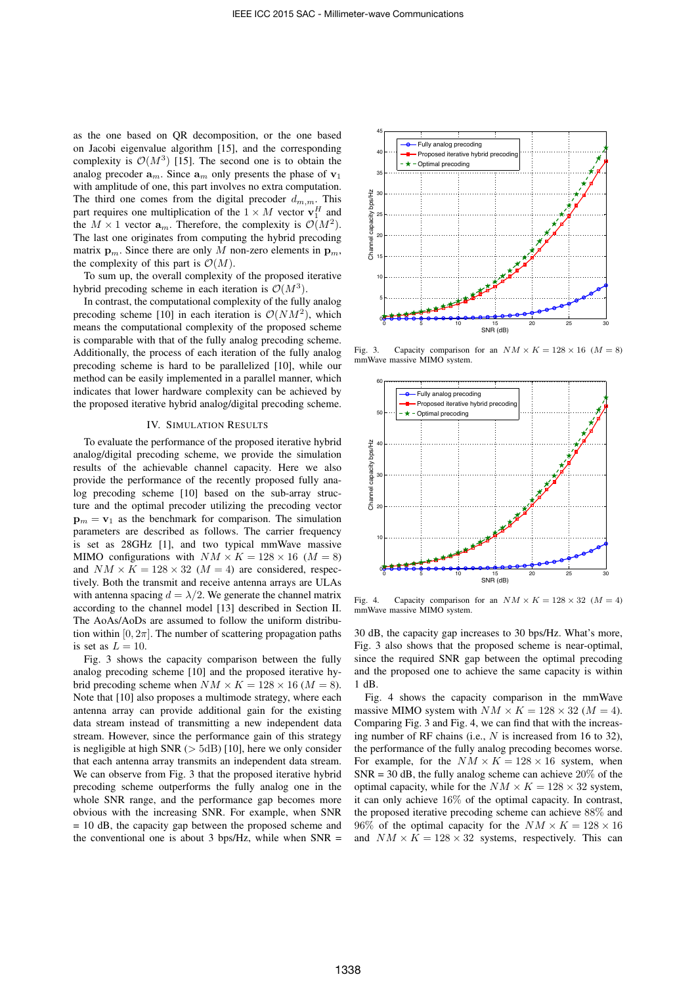as the one based on QR decomposition, or the one based on Jacobi eigenvalue algorithm [15], and the corresponding complexity is  $\mathcal{O}(M^3)$  [15]. The second one is to obtain the analog precoder  $a_m$ . Since  $a_m$  only presents the phase of  $v_1$ with amplitude of one, this part involves no extra computation. The third one comes from the digital precoder  $d_{m,m}$ . This part requires one multiplication of the  $1 \times M$  vector  $\mathbf{v}_1^H$  and the  $M \times 1$  vector  $\mathbf{a}_m$ . Therefore, the complexity is  $\mathcal{O}(M^2)$ . The last one originates from computing the hybrid precoding matrix  $\mathbf{p}_m$ . Since there are only M non-zero elements in  $\mathbf{p}_m$ , the complexity of this part is  $\mathcal{O}(M)$ .

To sum up, the overall complexity of the proposed iterative hybrid precoding scheme in each iteration is  $\mathcal{O}(M^3)$ .

In contrast, the computational complexity of the fully analog precoding scheme [10] in each iteration is  $\mathcal{O}(NM^2)$ , which means the computational complexity of the proposed scheme is comparable with that of the fully analog precoding scheme. Additionally, the process of each iteration of the fully analog precoding scheme is hard to be parallelized [10], while our method can be easily implemented in a parallel manner, which indicates that lower hardware complexity can be achieved by the proposed iterative hybrid analog/digital precoding scheme.

#### IV. SIMULATION RESULTS

To evaluate the performance of the proposed iterative hybrid analog/digital precoding scheme, we provide the simulation results of the achievable channel capacity. Here we also provide the performance of the recently proposed fully analog precoding scheme [10] based on the sub-array structure and the optimal precoder utilizing the precoding vector  $\mathbf{p}_m = \mathbf{v}_1$  as the benchmark for comparison. The simulation parameters are described as follows. The carrier frequency is set as 28GHz [1], and two typical mmWave massive MIMO configurations with  $NM \times K = 128 \times 16$  ( $M = 8$ ) and  $NM \times K = 128 \times 32$  ( $M = 4$ ) are considered, respectively. Both the transmit and receive antenna arrays are ULAs with antenna spacing  $d = \lambda/2$ . We generate the channel matrix according to the channel model [13] described in Section II. The AoAs/AoDs are assumed to follow the uniform distribution within  $[0, 2\pi]$ . The number of scattering propagation paths is set as  $L = 10$ .

Fig. 3 shows the capacity comparison between the fully analog precoding scheme [10] and the proposed iterative hybrid precoding scheme when  $NM \times K = 128 \times 16$  ( $M = 8$ ). Note that [10] also proposes a multimode strategy, where each antenna array can provide additional gain for the existing data stream instead of transmitting a new independent data stream. However, since the performance gain of this strategy is negligible at high SNR  $(>5dB)$  [10], here we only consider that each antenna array transmits an independent data stream. We can observe from Fig. 3 that the proposed iterative hybrid precoding scheme outperforms the fully analog one in the whole SNR range, and the performance gap becomes more obvious with the increasing SNR. For example, when SNR = 10 dB, the capacity gap between the proposed scheme and the conventional one is about 3 bps/Hz, while when  $SNR =$ 



Fig. 3. Capacity comparison for an  $NM \times K = 128 \times 16$  ( $M = 8$ ) mmWave massive MIMO system.



Fig. 4. Capacity comparison for an  $NM \times K = 128 \times 32$  ( $M = 4$ ) mmWave massive MIMO system.

30 dB, the capacity gap increases to 30 bps/Hz. What's more, Fig. 3 also shows that the proposed scheme is near-optimal, since the required SNR gap between the optimal precoding and the proposed one to achieve the same capacity is within 1 dB.

Fig. 4 shows the capacity comparison in the mmWave massive MIMO system with  $NM \times K = 128 \times 32$  ( $M = 4$ ). Comparing Fig. 3 and Fig. 4, we can find that with the increasing number of RF chains (i.e.,  $N$  is increased from 16 to 32), the performance of the fully analog precoding becomes worse. For example, for the  $NM \times K = 128 \times 16$  system, when  $SNR = 30$  dB, the fully analog scheme can achieve  $20\%$  of the optimal capacity, while for the  $NM \times K = 128 \times 32$  system, it can only achieve 16% of the optimal capacity. In contrast, the proposed iterative precoding scheme can achieve 88% and 96% of the optimal capacity for the  $NM \times K = 128 \times 16$ and  $NM \times K = 128 \times 32$  systems, respectively. This can